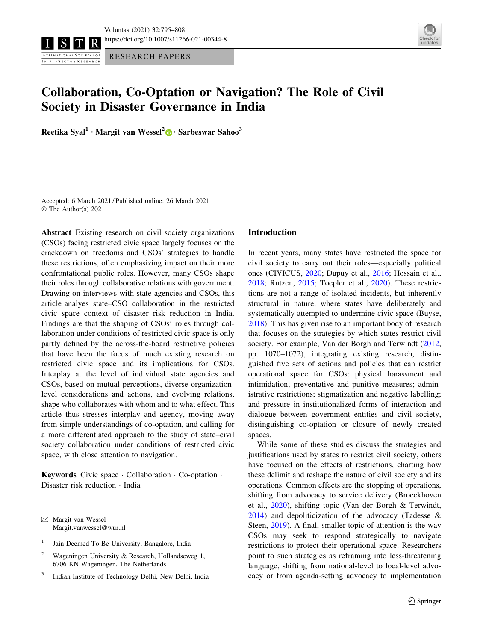RESEARCH PAPERS

INTERNATIONAL SOCIETY FOR THIRD - SECTOR RESEARCH



# Collaboration, Co-Optation or Navigation? The Role of Civil Society in Disaster Governance in India

Reetika Syal<sup>1</sup> • Margit van Wessel<sup>2</sup> • Sarbeswar Sahoo<sup>3</sup>

Accepted: 6 March 2021 / Published online: 26 March 2021 © The Author(s) 2021

Abstract Existing research on civil society organizations (CSOs) facing restricted civic space largely focuses on the crackdown on freedoms and CSOs' strategies to handle these restrictions, often emphasizing impact on their more confrontational public roles. However, many CSOs shape their roles through collaborative relations with government. Drawing on interviews with state agencies and CSOs, this article analyes state–CSO collaboration in the restricted civic space context of disaster risk reduction in India. Findings are that the shaping of CSOs' roles through collaboration under conditions of restricted civic space is only partly defined by the across-the-board restrictive policies that have been the focus of much existing research on restricted civic space and its implications for CSOs. Interplay at the level of individual state agencies and CSOs, based on mutual perceptions, diverse organizationlevel considerations and actions, and evolving relations, shape who collaborates with whom and to what effect. This article thus stresses interplay and agency, moving away from simple understandings of co-optation, and calling for a more differentiated approach to the study of state–civil society collaboration under conditions of restricted civic space, with close attention to navigation.

Keywords Civic space - Collaboration - Co-optation - Disaster risk reduction - India

 $\boxtimes$  Margit van Wessel Margit.vanwessel@wur.nl

- <sup>1</sup> Jain Deemed-To-Be University, Bangalore, India
- <sup>2</sup> Wageningen University & Research, Hollandseweg 1, 6706 KN Wageningen, The Netherlands
- Indian Institute of Technology Delhi, New Delhi, India

#### Introduction

In recent years, many states have restricted the space for civil society to carry out their roles—especially political ones (CIVICUS, [2020;](#page-12-0) Dupuy et al., [2016;](#page-12-0) Hossain et al., [2018](#page-12-0); Rutzen, [2015;](#page-13-0) Toepler et al., [2020\)](#page-13-0). These restrictions are not a range of isolated incidents, but inherently structural in nature, where states have deliberately and systematically attempted to undermine civic space (Buyse, [2018](#page-12-0)). This has given rise to an important body of research that focuses on the strategies by which states restrict civil society. For example, Van der Borgh and Terwindt ([2012,](#page-13-0) pp. 1070–1072), integrating existing research, distinguished five sets of actions and policies that can restrict operational space for CSOs: physical harassment and intimidation; preventative and punitive measures; administrative restrictions; stigmatization and negative labelling; and pressure in institutionalized forms of interaction and dialogue between government entities and civil society, distinguishing co-optation or closure of newly created spaces.

While some of these studies discuss the strategies and justifications used by states to restrict civil society, others have focused on the effects of restrictions, charting how these delimit and reshape the nature of civil society and its operations. Common effects are the stopping of operations, shifting from advocacy to service delivery (Broeckhoven et al., [2020\)](#page-12-0), shifting topic (Van der Borgh & Terwindt, [2014](#page-13-0)) and depoliticization of the advocacy (Tadesse & Steen, [2019\)](#page-13-0). A final, smaller topic of attention is the way CSOs may seek to respond strategically to navigate restrictions to protect their operational space. Researchers point to such strategies as reframing into less-threatening language, shifting from national-level to local-level advocacy or from agenda-setting advocacy to implementation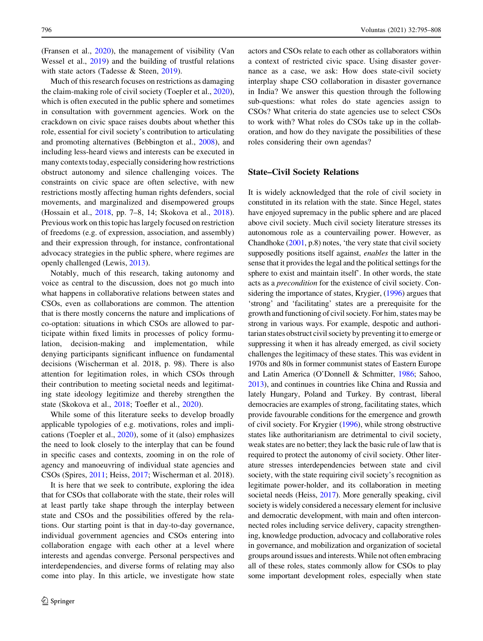(Fransen et al., [2020\)](#page-12-0), the management of visibility (Van Wessel et al., [2019\)](#page-13-0) and the building of trustful relations with state actors (Tadesse & Steen, [2019](#page-13-0)).

Much of this research focuses on restrictions as damaging the claim-making role of civil society (Toepler et al., [2020](#page-13-0)), which is often executed in the public sphere and sometimes in consultation with government agencies. Work on the crackdown on civic space raises doubts about whether this role, essential for civil society's contribution to articulating and promoting alternatives (Bebbington et al., [2008](#page-12-0)), and including less-heard views and interests can be executed in many contexts today, especially considering how restrictions obstruct autonomy and silence challenging voices. The constraints on civic space are often selective, with new restrictions mostly affecting human rights defenders, social movements, and marginalized and disempowered groups (Hossain et al., [2018](#page-12-0), pp. 7–8, 14; Skokova et al., [2018](#page-13-0)). Previous work on this topic has largely focused on restriction of freedoms (e.g. of expression, association, and assembly) and their expression through, for instance, confrontational advocacy strategies in the public sphere, where regimes are openly challenged (Lewis, [2013](#page-12-0)).

Notably, much of this research, taking autonomy and voice as central to the discussion, does not go much into what happens in collaborative relations between states and CSOs, even as collaborations are common. The attention that is there mostly concerns the nature and implications of co-optation: situations in which CSOs are allowed to participate within fixed limits in processes of policy formulation, decision-making and implementation, while denying participants significant influence on fundamental decisions (Wischerman et al. 2018, p. 98). There is also attention for legitimation roles, in which CSOs through their contribution to meeting societal needs and legitimating state ideology legitimize and thereby strengthen the state (Skokova et al., [2018](#page-13-0); Toefler et al., [2020\)](#page-13-0).

While some of this literature seeks to develop broadly applicable typologies of e.g. motivations, roles and implications (Toepler et al., [2020\)](#page-13-0), some of it (also) emphasizes the need to look closely to the interplay that can be found in specific cases and contexts, zooming in on the role of agency and manoeuvring of individual state agencies and CSOs (Spires, [2011](#page-13-0); Heiss, [2017;](#page-12-0) Wischerman et al. 2018).

It is here that we seek to contribute, exploring the idea that for CSOs that collaborate with the state, their roles will at least partly take shape through the interplay between state and CSOs and the possibilities offered by the relations. Our starting point is that in day-to-day governance, individual government agencies and CSOs entering into collaboration engage with each other at a level where interests and agendas converge. Personal perspectives and interdependencies, and diverse forms of relating may also come into play. In this article, we investigate how state actors and CSOs relate to each other as collaborators within a context of restricted civic space. Using disaster governance as a case, we ask: How does state-civil society interplay shape CSO collaboration in disaster governance in India? We answer this question through the following sub-questions: what roles do state agencies assign to CSOs? What criteria do state agencies use to select CSOs to work with? What roles do CSOs take up in the collaboration, and how do they navigate the possibilities of these roles considering their own agendas?

### State–Civil Society Relations

It is widely acknowledged that the role of civil society in constituted in its relation with the state. Since Hegel, states have enjoyed supremacy in the public sphere and are placed above civil society. Much civil society literature stresses its autonomous role as a countervailing power. However, as Chandhoke [\(2001,](#page-12-0) p.8) notes, 'the very state that civil society supposedly positions itself against, enables the latter in the sense that it provides the legal and the political settings for the sphere to exist and maintain itself'. In other words, the state acts as a precondition for the existence of civil society. Considering the importance of states, Krygier, [\(1996\)](#page-12-0) argues that 'strong' and 'facilitating' states are a prerequisite for the growth and functioning of civil society. For him, states may be strong in various ways. For example, despotic and authoritarian states obstruct civil society by preventing it to emerge or suppressing it when it has already emerged, as civil society challenges the legitimacy of these states. This was evident in 1970s and 80s in former communist states of Eastern Europe and Latin America (O'Donnell & Schmitter, [1986;](#page-12-0) Sahoo, [2013\)](#page-13-0), and continues in countries like China and Russia and lately Hungary, Poland and Turkey. By contrast, liberal democracies are examples of strong, facilitating states, which provide favourable conditions for the emergence and growth of civil society. For Krygier ([1996](#page-12-0)), while strong obstructive states like authoritarianism are detrimental to civil society, weak states are no better; they lack the basic rule of law that is required to protect the autonomy of civil society. Other literature stresses interdependencies between state and civil society, with the state requiring civil society's recognition as legitimate power-holder, and its collaboration in meeting societal needs (Heiss, [2017](#page-12-0)). More generally speaking, civil society is widely considered a necessary element for inclusive and democratic development, with main and often interconnected roles including service delivery, capacity strengthening, knowledge production, advocacy and collaborative roles in governance, and mobilization and organization of societal groups around issues and interests. While not often embracing all of these roles, states commonly allow for CSOs to play some important development roles, especially when state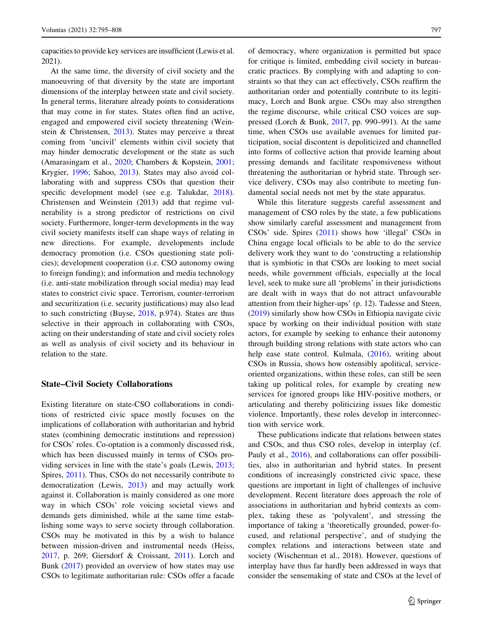capacities to provide key services are insufficient (Lewis et al. 2021).

At the same time, the diversity of civil society and the manoeuvring of that diversity by the state are important dimensions of the interplay between state and civil society. In general terms, literature already points to considerations that may come in for states. States often find an active, engaged and empowered civil society threatening (Weinstein & Christensen, [2013\)](#page-13-0). States may perceive a threat coming from 'uncivil' elements within civil society that may hinder democratic development or the state as such (Amarasingam et al., [2020](#page-12-0); Chambers & Kopstein, [2001](#page-12-0); Krygier, [1996;](#page-12-0) Sahoo, [2013](#page-13-0)). States may also avoid collaborating with and suppress CSOs that question their specific development model (see e.g. Talukdar, [2018](#page-13-0)). Christensen and Weinstein (2013) add that regime vulnerability is a strong predictor of restrictions on civil society. Furthermore, longer-term developments in the way civil society manifests itself can shape ways of relating in new directions. For example, developments include democracy promotion (i.e. CSOs questioning state policies); development cooperation (i.e. CSO autonomy owing to foreign funding); and information and media technology (i.e. anti-state mobilization through social media) may lead states to constrict civic space. Terrorism, counter-terrorism and securitization (i.e. security justifications) may also lead to such constricting (Buyse, [2018](#page-12-0), p.974). States are thus selective in their approach in collaborating with CSOs, acting on their understanding of state and civil society roles as well as analysis of civil society and its behaviour in relation to the state.

### State–Civil Society Collaborations

Existing literature on state-CSO collaborations in conditions of restricted civic space mostly focuses on the implications of collaboration with authoritarian and hybrid states (combining democratic institutions and repression) for CSOs' roles. Co-optation is a commonly discussed risk, which has been discussed mainly in terms of CSOs providing services in line with the state's goals (Lewis, [2013](#page-12-0); Spires, [2011](#page-13-0)). Thus, CSOs do not necessarily contribute to democratization (Lewis, [2013\)](#page-12-0) and may actually work against it. Collaboration is mainly considered as one more way in which CSOs' role voicing societal views and demands gets diminished, while at the same time establishing some ways to serve society through collaboration. CSOs may be motivated in this by a wish to balance between mission-driven and instrumental needs (Heiss, [2017,](#page-12-0) p. 269; Giersdorf & Croissant, [2011\)](#page-12-0). Lorch and Bunk [\(2017](#page-12-0)) provided an overview of how states may use CSOs to legitimate authoritarian rule: CSOs offer a facade of democracy, where organization is permitted but space for critique is limited, embedding civil society in bureaucratic practices. By complying with and adapting to constraints so that they can act effectively, CSOs reaffirm the authoritarian order and potentially contribute to its legitimacy, Lorch and Bunk argue. CSOs may also strengthen the regime discourse, while critical CSO voices are suppressed (Lorch & Bunk, [2017,](#page-12-0) pp. 990–991). At the same time, when CSOs use available avenues for limited participation, social discontent is depoliticized and channelled into forms of collective action that provide learning about pressing demands and facilitate responsiveness without threatening the authoritarian or hybrid state. Through service delivery, CSOs may also contribute to meeting fundamental social needs not met by the state apparatus.

While this literature suggests careful assessment and management of CSO roles by the state, a few publications show similarly careful assessment and management from CSOs' side. Spires [\(2011](#page-13-0)) shows how 'illegal' CSOs in China engage local officials to be able to do the service delivery work they want to do 'constructing a relationship that is symbiotic in that CSOs are looking to meet social needs, while government officials, especially at the local level, seek to make sure all 'problems' in their jurisdictions are dealt with in ways that do not attract unfavourable attention from their higher-ups' (p. 12). Tadesse and Steen, [\(2019](#page-13-0)) similarly show how CSOs in Ethiopia navigate civic space by working on their individual position with state actors, for example by seeking to enhance their autonomy through building strong relations with state actors who can help ease state control. Kulmala, ([2016\)](#page-12-0), writing about CSOs in Russia, shows how ostensibly apolitical, serviceoriented organizations, within these roles, can still be seen taking up political roles, for example by creating new services for ignored groups like HIV-positive mothers, or articulating and thereby politicizing issues like domestic violence. Importantly, these roles develop in interconnection with service work.

These publications indicate that relations between states and CSOs, and thus CSO roles, develop in interplay (cf. Pauly et al., [2016\)](#page-12-0), and collaborations can offer possibilities, also in authoritarian and hybrid states. In present conditions of increasingly constricted civic space, these questions are important in light of challenges of inclusive development. Recent literature does approach the role of associations in authoritarian and hybrid contexts as complex, taking these as 'polyvalent', and stressing the importance of taking a 'theoretically grounded, power-focused, and relational perspective', and of studying the complex relations and interactions between state and society (Wischerman et al., 2018). However, questions of interplay have thus far hardly been addressed in ways that consider the sensemaking of state and CSOs at the level of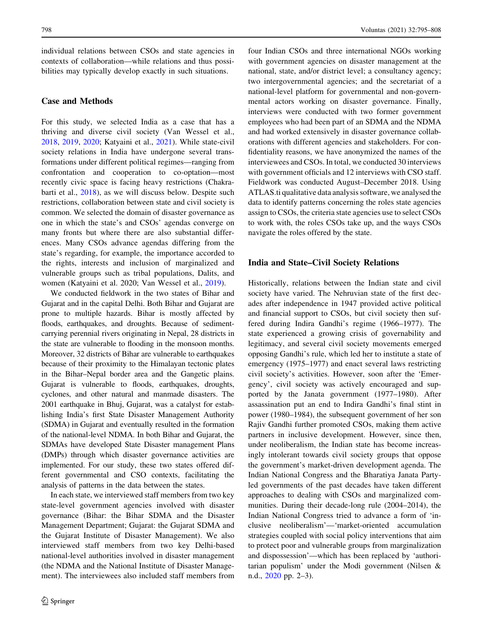individual relations between CSOs and state agencies in contexts of collaboration—while relations and thus possibilities may typically develop exactly in such situations.

## Case and Methods

For this study, we selected India as a case that has a thriving and diverse civil society (Van Wessel et al., [2018,](#page-13-0) [2019,](#page-13-0) [2020;](#page-13-0) Katyaini et al., [2021\)](#page-12-0). While state-civil society relations in India have undergone several transformations under different political regimes—ranging from confrontation and cooperation to co-optation—most recently civic space is facing heavy restrictions (Chakrabarti et al., [2018](#page-12-0)), as we will discuss below. Despite such restrictions, collaboration between state and civil society is common. We selected the domain of disaster governance as one in which the state's and CSOs' agendas converge on many fronts but where there are also substantial differences. Many CSOs advance agendas differing from the state's regarding, for example, the importance accorded to the rights, interests and inclusion of marginalized and vulnerable groups such as tribal populations, Dalits, and women (Katyaini et al. 2020; Van Wessel et al., [2019](#page-13-0)).

We conducted fieldwork in the two states of Bihar and Gujarat and in the capital Delhi. Both Bihar and Gujarat are prone to multiple hazards. Bihar is mostly affected by floods, earthquakes, and droughts. Because of sedimentcarrying perennial rivers originating in Nepal, 28 districts in the state are vulnerable to flooding in the monsoon months. Moreover, 32 districts of Bihar are vulnerable to earthquakes because of their proximity to the Himalayan tectonic plates in the Bihar–Nepal border area and the Gangetic plains. Gujarat is vulnerable to floods, earthquakes, droughts, cyclones, and other natural and manmade disasters. The 2001 earthquake in Bhuj, Gujarat, was a catalyst for establishing India's first State Disaster Management Authority (SDMA) in Gujarat and eventually resulted in the formation of the national-level NDMA. In both Bihar and Gujarat, the SDMAs have developed State Disaster management Plans (DMPs) through which disaster governance activities are implemented. For our study, these two states offered different governmental and CSO contexts, facilitating the analysis of patterns in the data between the states.

In each state, we interviewed staff members from two key state-level government agencies involved with disaster governance (Bihar: the Bihar SDMA and the Disaster Management Department; Gujarat: the Gujarat SDMA and the Gujarat Institute of Disaster Management). We also interviewed staff members from two key Delhi-based national-level authorities involved in disaster management (the NDMA and the National Institute of Disaster Management). The interviewees also included staff members from

four Indian CSOs and three international NGOs working with government agencies on disaster management at the national, state, and/or district level; a consultancy agency; two intergovernmental agencies; and the secretariat of a national-level platform for governmental and non-governmental actors working on disaster governance. Finally, interviews were conducted with two former government employees who had been part of an SDMA and the NDMA and had worked extensively in disaster governance collaborations with different agencies and stakeholders. For confidentiality reasons, we have anonymized the names of the interviewees and CSOs. In total, we conducted 30 interviews with government officials and 12 interviews with CSO staff. Fieldwork was conducted August–December 2018. Using ATLAS.ti qualitative data analysis software, we analysed the data to identify patterns concerning the roles state agencies assign to CSOs, the criteria state agencies use to select CSOs to work with, the roles CSOs take up, and the ways CSOs navigate the roles offered by the state.

#### India and State–Civil Society Relations

Historically, relations between the Indian state and civil society have varied. The Nehruvian state of the first decades after independence in 1947 provided active political and financial support to CSOs, but civil society then suffered during Indira Gandhi's regime (1966–1977). The state experienced a growing crisis of governability and legitimacy, and several civil society movements emerged opposing Gandhi's rule, which led her to institute a state of emergency (1975–1977) and enact several laws restricting civil society's activities. However, soon after the 'Emergency', civil society was actively encouraged and supported by the Janata government (1977–1980). After assassination put an end to Indira Gandhi's final stint in power (1980–1984), the subsequent government of her son Rajiv Gandhi further promoted CSOs, making them active partners in inclusive development. However, since then, under neoliberalism, the Indian state has become increasingly intolerant towards civil society groups that oppose the government's market-driven development agenda. The Indian National Congress and the Bharatiya Janata Partyled governments of the past decades have taken different approaches to dealing with CSOs and marginalized communities. During their decade-long rule (2004–2014), the Indian National Congress tried to advance a form of 'inclusive neoliberalism'—'market-oriented accumulation strategies coupled with social policy interventions that aim to protect poor and vulnerable groups from marginalization and dispossession'—which has been replaced by 'authoritarian populism' under the Modi government (Nilsen & n.d., [2020](#page-12-0) pp. 2–3).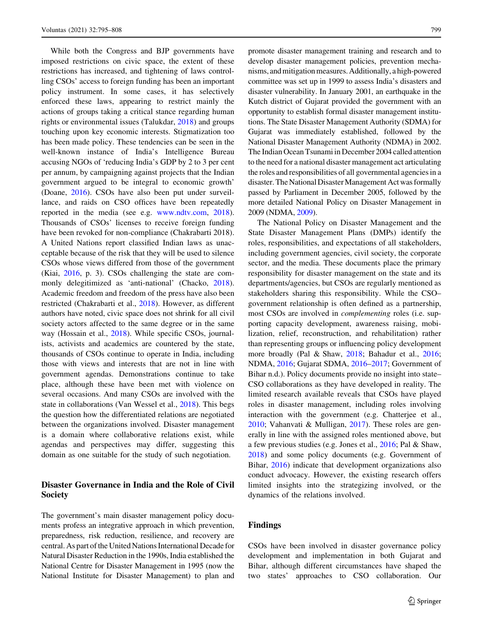While both the Congress and BJP governments have imposed restrictions on civic space, the extent of these restrictions has increased, and tightening of laws controlling CSOs' access to foreign funding has been an important policy instrument. In some cases, it has selectively enforced these laws, appearing to restrict mainly the actions of groups taking a critical stance regarding human rights or environmental issues (Talukdar, [2018\)](#page-13-0) and groups touching upon key economic interests. Stigmatization too has been made policy. These tendencies can be seen in the well-known instance of India's Intelligence Bureau accusing NGOs of 'reducing India's GDP by 2 to 3 per cent per annum, by campaigning against projects that the Indian government argued to be integral to economic growth' (Doane, [2016\)](#page-12-0). CSOs have also been put under surveillance, and raids on CSO offices have been repeatedly reported in the media (see e.g. [www.ndtv.com](http://www.ndtv.com), [2018](#page-13-0)). Thousands of CSOs' licenses to receive foreign funding have been revoked for non-compliance (Chakrabarti 2018). A United Nations report classified Indian laws as unacceptable because of the risk that they will be used to silence CSOs whose views differed from those of the government (Kiai, [2016,](#page-12-0) p. 3). CSOs challenging the state are commonly delegitimized as 'anti-national' (Chacko, [2018](#page-12-0)). Academic freedom and freedom of the press have also been restricted (Chakrabarti et al., [2018\)](#page-12-0). However, as different authors have noted, civic space does not shrink for all civil society actors affected to the same degree or in the same way (Hossain et al., [2018\)](#page-12-0). While specific CSOs, journalists, activists and academics are countered by the state, thousands of CSOs continue to operate in India, including those with views and interests that are not in line with government agendas. Demonstrations continue to take place, although these have been met with violence on several occasions. And many CSOs are involved with the state in collaborations (Van Wessel et al., [2018\)](#page-13-0). This begs the question how the differentiated relations are negotiated between the organizations involved. Disaster management is a domain where collaborative relations exist, while agendas and perspectives may differ, suggesting this domain as one suitable for the study of such negotiation.

### Disaster Governance in India and the Role of Civil Society

The government's main disaster management policy documents profess an integrative approach in which prevention, preparedness, risk reduction, resilience, and recovery are central. As part of the United Nations International Decade for Natural Disaster Reduction in the 1990s, India established the National Centre for Disaster Management in 1995 (now the National Institute for Disaster Management) to plan and promote disaster management training and research and to develop disaster management policies, prevention mechanisms, and mitigation measures. Additionally, a high-powered committee was set up in 1999 to assess India's disasters and disaster vulnerability. In January 2001, an earthquake in the Kutch district of Gujarat provided the government with an opportunity to establish formal disaster management institutions. The State Disaster Management Authority (SDMA) for Gujarat was immediately established, followed by the National Disaster Management Authority (NDMA) in 2002. The Indian Ocean Tsunami in December 2004 called attention to the need for a national disaster management act articulating the roles and responsibilities of all governmental agencies in a disaster. The National Disaster Management Act was formally passed by Parliament in December 2005, followed by the more detailed National Policy on Disaster Management in 2009 (NDMA, [2009\)](#page-12-0).

The National Policy on Disaster Management and the State Disaster Management Plans (DMPs) identify the roles, responsibilities, and expectations of all stakeholders, including government agencies, civil society, the corporate sector, and the media. These documents place the primary responsibility for disaster management on the state and its departments/agencies, but CSOs are regularly mentioned as stakeholders sharing this responsibility. While the CSO– government relationship is often defined as a partnership, most CSOs are involved in complementing roles (i.e. supporting capacity development, awareness raising, mobilization, relief, reconstruction, and rehabilitation) rather than representing groups or influencing policy development more broadly (Pal & Shaw, [2018](#page-13-0); Bahadur et al., [2016](#page-12-0); NDMA, [2016](#page-12-0); Gujarat SDMA, [2016–2017](#page-12-0); Government of Bihar n.d.). Policy documents provide no insight into state– CSO collaborations as they have developed in reality. The limited research available reveals that CSOs have played roles in disaster management, including roles involving interaction with the government (e.g. Chatterjee et al., [2010](#page-12-0); Vahanvati & Mulligan, [2017](#page-13-0)). These roles are generally in line with the assigned roles mentioned above, but a few previous studies (e.g. Jones et al., [2016](#page-12-0); Pal & Shaw, [2018](#page-13-0)) and some policy documents (e.g. Government of Bihar, [2016](#page-12-0)) indicate that development organizations also conduct advocacy. However, the existing research offers limited insights into the strategizing involved, or the dynamics of the relations involved.

## Findings

CSOs have been involved in disaster governance policy development and implementation in both Gujarat and Bihar, although different circumstances have shaped the two states' approaches to CSO collaboration. Our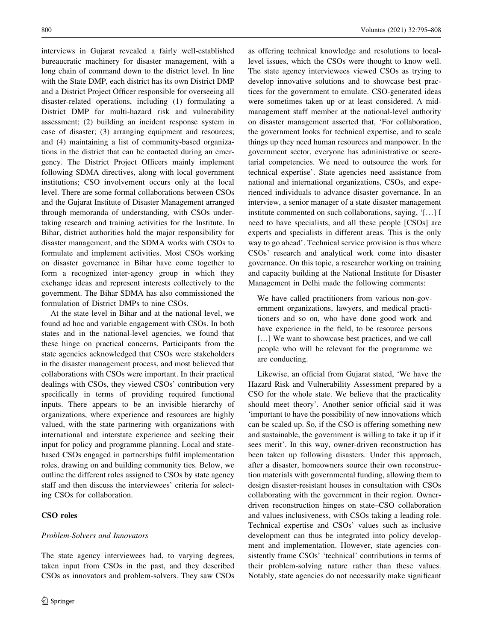interviews in Gujarat revealed a fairly well-established bureaucratic machinery for disaster management, with a long chain of command down to the district level. In line with the State DMP, each district has its own District DMP and a District Project Officer responsible for overseeing all disaster-related operations, including (1) formulating a District DMP for multi-hazard risk and vulnerability assessment; (2) building an incident response system in case of disaster; (3) arranging equipment and resources; and (4) maintaining a list of community-based organizations in the district that can be contacted during an emergency. The District Project Officers mainly implement following SDMA directives, along with local government institutions; CSO involvement occurs only at the local level. There are some formal collaborations between CSOs and the Gujarat Institute of Disaster Management arranged through memoranda of understanding, with CSOs undertaking research and training activities for the Institute. In Bihar, district authorities hold the major responsibility for disaster management, and the SDMA works with CSOs to formulate and implement activities. Most CSOs working on disaster governance in Bihar have come together to form a recognized inter-agency group in which they exchange ideas and represent interests collectively to the government. The Bihar SDMA has also commissioned the formulation of District DMPs to nine CSOs.

At the state level in Bihar and at the national level, we found ad hoc and variable engagement with CSOs. In both states and in the national-level agencies, we found that these hinge on practical concerns. Participants from the state agencies acknowledged that CSOs were stakeholders in the disaster management process, and most believed that collaborations with CSOs were important. In their practical dealings with CSOs, they viewed CSOs' contribution very specifically in terms of providing required functional inputs. There appears to be an invisible hierarchy of organizations, where experience and resources are highly valued, with the state partnering with organizations with international and interstate experience and seeking their input for policy and programme planning. Local and statebased CSOs engaged in partnerships fulfil implementation roles, drawing on and building community ties. Below, we outline the different roles assigned to CSOs by state agency staff and then discuss the interviewees' criteria for selecting CSOs for collaboration.

### CSO roles

#### Problem-Solvers and Innovators

The state agency interviewees had, to varying degrees, taken input from CSOs in the past, and they described CSOs as innovators and problem-solvers. They saw CSOs

as offering technical knowledge and resolutions to locallevel issues, which the CSOs were thought to know well. The state agency interviewees viewed CSOs as trying to develop innovative solutions and to showcase best practices for the government to emulate. CSO-generated ideas were sometimes taken up or at least considered. A midmanagement staff member at the national-level authority on disaster management asserted that, 'For collaboration, the government looks for technical expertise, and to scale things up they need human resources and manpower. In the government sector, everyone has administrative or secretarial competencies. We need to outsource the work for technical expertise'. State agencies need assistance from national and international organizations, CSOs, and experienced individuals to advance disaster governance. In an interview, a senior manager of a state disaster management institute commented on such collaborations, saying, '[…] I need to have specialists, and all these people [CSOs] are experts and specialists in different areas. This is the only way to go ahead'. Technical service provision is thus where CSOs' research and analytical work come into disaster governance. On this topic, a researcher working on training and capacity building at the National Institute for Disaster Management in Delhi made the following comments:

We have called practitioners from various non-government organizations, lawyers, and medical practitioners and so on, who have done good work and have experience in the field, to be resource persons [...] We want to showcase best practices, and we call people who will be relevant for the programme we are conducting.

Likewise, an official from Gujarat stated, 'We have the Hazard Risk and Vulnerability Assessment prepared by a CSO for the whole state. We believe that the practicality should meet theory'. Another senior official said it was 'important to have the possibility of new innovations which can be scaled up. So, if the CSO is offering something new and sustainable, the government is willing to take it up if it sees merit'. In this way, owner-driven reconstruction has been taken up following disasters. Under this approach, after a disaster, homeowners source their own reconstruction materials with governmental funding, allowing them to design disaster-resistant houses in consultation with CSOs collaborating with the government in their region. Ownerdriven reconstruction hinges on state–CSO collaboration and values inclusiveness, with CSOs taking a leading role. Technical expertise and CSOs' values such as inclusive development can thus be integrated into policy development and implementation. However, state agencies consistently frame CSOs' 'technical' contributions in terms of their problem-solving nature rather than these values. Notably, state agencies do not necessarily make significant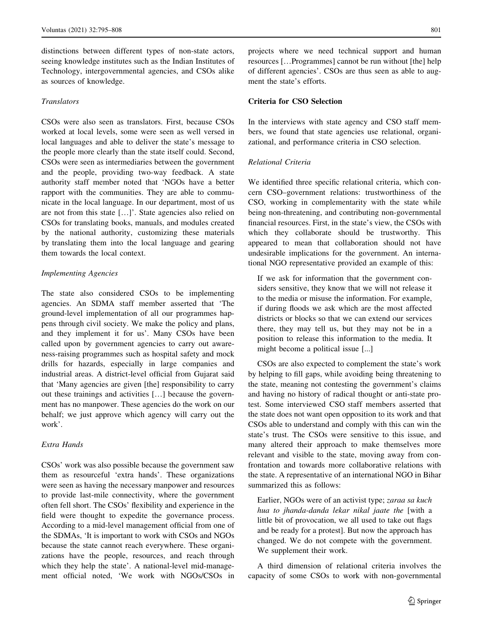distinctions between different types of non-state actors, seeing knowledge institutes such as the Indian Institutes of Technology, intergovernmental agencies, and CSOs alike as sources of knowledge.

### **Translators**

CSOs were also seen as translators. First, because CSOs worked at local levels, some were seen as well versed in local languages and able to deliver the state's message to the people more clearly than the state itself could. Second, CSOs were seen as intermediaries between the government and the people, providing two-way feedback. A state authority staff member noted that 'NGOs have a better rapport with the communities. They are able to communicate in the local language. In our department, most of us are not from this state […]'. State agencies also relied on CSOs for translating books, manuals, and modules created by the national authority, customizing these materials by translating them into the local language and gearing them towards the local context.

### Implementing Agencies

The state also considered CSOs to be implementing agencies. An SDMA staff member asserted that 'The ground-level implementation of all our programmes happens through civil society. We make the policy and plans, and they implement it for us'. Many CSOs have been called upon by government agencies to carry out awareness-raising programmes such as hospital safety and mock drills for hazards, especially in large companies and industrial areas. A district-level official from Gujarat said that 'Many agencies are given [the] responsibility to carry out these trainings and activities […] because the government has no manpower. These agencies do the work on our behalf; we just approve which agency will carry out the work'.

### Extra Hands

CSOs' work was also possible because the government saw them as resourceful 'extra hands'. These organizations were seen as having the necessary manpower and resources to provide last-mile connectivity, where the government often fell short. The CSOs' flexibility and experience in the field were thought to expedite the governance process. According to a mid-level management official from one of the SDMAs, 'It is important to work with CSOs and NGOs because the state cannot reach everywhere. These organizations have the people, resources, and reach through which they help the state'. A national-level mid-management official noted, 'We work with NGOs/CSOs in projects where we need technical support and human resources […Programmes] cannot be run without [the] help of different agencies'. CSOs are thus seen as able to augment the state's efforts.

### Criteria for CSO Selection

In the interviews with state agency and CSO staff members, we found that state agencies use relational, organizational, and performance criteria in CSO selection.

#### Relational Criteria

We identified three specific relational criteria, which concern CSO–government relations: trustworthiness of the CSO, working in complementarity with the state while being non-threatening, and contributing non-governmental financial resources. First, in the state's view, the CSOs with which they collaborate should be trustworthy. This appeared to mean that collaboration should not have undesirable implications for the government. An international NGO representative provided an example of this:

If we ask for information that the government considers sensitive, they know that we will not release it to the media or misuse the information. For example, if during floods we ask which are the most affected districts or blocks so that we can extend our services there, they may tell us, but they may not be in a position to release this information to the media. It might become a political issue [...]

CSOs are also expected to complement the state's work by helping to fill gaps, while avoiding being threatening to the state, meaning not contesting the government's claims and having no history of radical thought or anti-state protest. Some interviewed CSO staff members asserted that the state does not want open opposition to its work and that CSOs able to understand and comply with this can win the state's trust. The CSOs were sensitive to this issue, and many altered their approach to make themselves more relevant and visible to the state, moving away from confrontation and towards more collaborative relations with the state. A representative of an international NGO in Bihar summarized this as follows:

Earlier, NGOs were of an activist type; zaraa sa kuch hua to jhanda-danda lekar nikal jaate the [with a little bit of provocation, we all used to take out flags and be ready for a protest]. But now the approach has changed. We do not compete with the government. We supplement their work.

A third dimension of relational criteria involves the capacity of some CSOs to work with non-governmental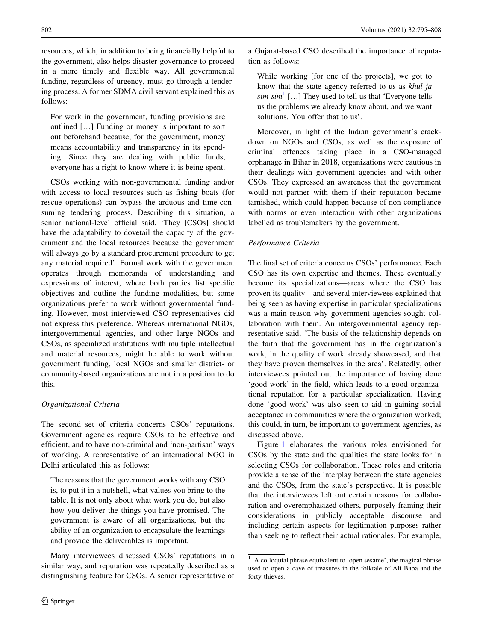resources, which, in addition to being financially helpful to the government, also helps disaster governance to proceed in a more timely and flexible way. All governmental funding, regardless of urgency, must go through a tendering process. A former SDMA civil servant explained this as follows:

For work in the government, funding provisions are outlined […] Funding or money is important to sort out beforehand because, for the government, money means accountability and transparency in its spending. Since they are dealing with public funds, everyone has a right to know where it is being spent.

CSOs working with non-governmental funding and/or with access to local resources such as fishing boats (for rescue operations) can bypass the arduous and time-consuming tendering process. Describing this situation, a senior national-level official said, 'They [CSOs] should have the adaptability to dovetail the capacity of the government and the local resources because the government will always go by a standard procurement procedure to get any material required'. Formal work with the government operates through memoranda of understanding and expressions of interest, where both parties list specific objectives and outline the funding modalities, but some organizations prefer to work without governmental funding. However, most interviewed CSO representatives did not express this preference. Whereas international NGOs, intergovernmental agencies, and other large NGOs and CSOs, as specialized institutions with multiple intellectual and material resources, might be able to work without government funding, local NGOs and smaller district- or community-based organizations are not in a position to do this.

#### Organizational Criteria

The second set of criteria concerns CSOs' reputations. Government agencies require CSOs to be effective and efficient, and to have non-criminal and 'non-partisan' ways of working. A representative of an international NGO in Delhi articulated this as follows:

The reasons that the government works with any CSO is, to put it in a nutshell, what values you bring to the table. It is not only about what work you do, but also how you deliver the things you have promised. The government is aware of all organizations, but the ability of an organization to encapsulate the learnings and provide the deliverables is important.

Many interviewees discussed CSOs' reputations in a similar way, and reputation was repeatedly described as a distinguishing feature for CSOs. A senior representative of

a Gujarat-based CSO described the importance of reputation as follows:

While working [for one of the projects], we got to know that the state agency referred to us as khul ja  $sim\text{-}sim<sup>1</sup>$  [...] They used to tell us that 'Everyone tells us the problems we already know about, and we want solutions. You offer that to us'.

Moreover, in light of the Indian government's crackdown on NGOs and CSOs, as well as the exposure of criminal offences taking place in a CSO-managed orphanage in Bihar in 2018, organizations were cautious in their dealings with government agencies and with other CSOs. They expressed an awareness that the government would not partner with them if their reputation became tarnished, which could happen because of non-compliance with norms or even interaction with other organizations labelled as troublemakers by the government.

#### Performance Criteria

The final set of criteria concerns CSOs' performance. Each CSO has its own expertise and themes. These eventually become its specializations—areas where the CSO has proven its quality—and several interviewees explained that being seen as having expertise in particular specializations was a main reason why government agencies sought collaboration with them. An intergovernmental agency representative said, 'The basis of the relationship depends on the faith that the government has in the organization's work, in the quality of work already showcased, and that they have proven themselves in the area'. Relatedly, other interviewees pointed out the importance of having done 'good work' in the field, which leads to a good organizational reputation for a particular specialization. Having done 'good work' was also seen to aid in gaining social acceptance in communities where the organization worked; this could, in turn, be important to government agencies, as discussed above.

Figure [1](#page-8-0) elaborates the various roles envisioned for CSOs by the state and the qualities the state looks for in selecting CSOs for collaboration. These roles and criteria provide a sense of the interplay between the state agencies and the CSOs, from the state's perspective. It is possible that the interviewees left out certain reasons for collaboration and overemphasized others, purposely framing their considerations in publicly acceptable discourse and including certain aspects for legitimation purposes rather than seeking to reflect their actual rationales. For example,

<sup>&</sup>lt;sup>1</sup> A colloquial phrase equivalent to 'open sesame', the magical phrase used to open a cave of treasures in the folktale of Ali Baba and the forty thieves.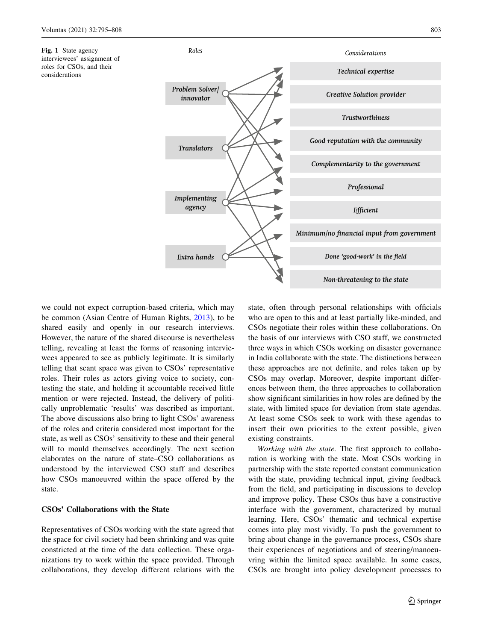<span id="page-8-0"></span>Fig. 1 State agency interviewees' assignment of roles for CSOs, and their considerations



we could not expect corruption-based criteria, which may be common (Asian Centre of Human Rights, [2013](#page-12-0)), to be shared easily and openly in our research interviews. However, the nature of the shared discourse is nevertheless telling, revealing at least the forms of reasoning interviewees appeared to see as publicly legitimate. It is similarly telling that scant space was given to CSOs' representative roles. Their roles as actors giving voice to society, contesting the state, and holding it accountable received little mention or were rejected. Instead, the delivery of politically unproblematic 'results' was described as important. The above discussions also bring to light CSOs' awareness of the roles and criteria considered most important for the state, as well as CSOs' sensitivity to these and their general will to mould themselves accordingly. The next section elaborates on the nature of state–CSO collaborations as understood by the interviewed CSO staff and describes how CSOs manoeuvred within the space offered by the state.

### CSOs' Collaborations with the State

Representatives of CSOs working with the state agreed that the space for civil society had been shrinking and was quite constricted at the time of the data collection. These organizations try to work within the space provided. Through collaborations, they develop different relations with the state, often through personal relationships with officials who are open to this and at least partially like-minded, and CSOs negotiate their roles within these collaborations. On the basis of our interviews with CSO staff, we constructed three ways in which CSOs working on disaster governance in India collaborate with the state. The distinctions between these approaches are not definite, and roles taken up by CSOs may overlap. Moreover, despite important differences between them, the three approaches to collaboration show significant similarities in how roles are defined by the state, with limited space for deviation from state agendas. At least some CSOs seek to work with these agendas to insert their own priorities to the extent possible, given existing constraints.

Working with the state. The first approach to collaboration is working with the state. Most CSOs working in partnership with the state reported constant communication with the state, providing technical input, giving feedback from the field, and participating in discussions to develop and improve policy. These CSOs thus have a constructive interface with the government, characterized by mutual learning. Here, CSOs' thematic and technical expertise comes into play most vividly. To push the government to bring about change in the governance process, CSOs share their experiences of negotiations and of steering/manoeuvring within the limited space available. In some cases, CSOs are brought into policy development processes to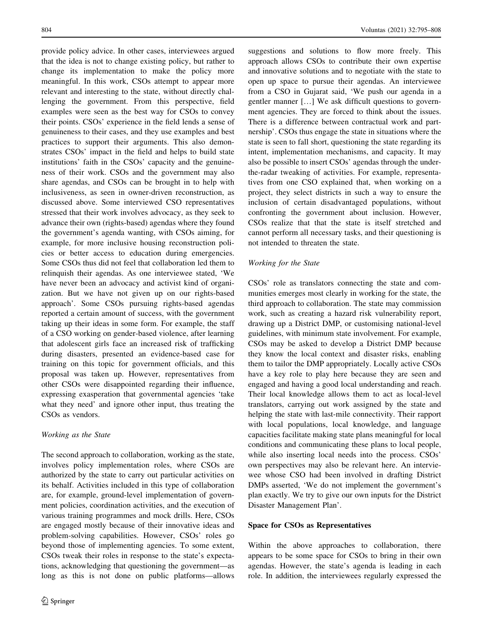provide policy advice. In other cases, interviewees argued that the idea is not to change existing policy, but rather to change its implementation to make the policy more meaningful. In this work, CSOs attempt to appear more relevant and interesting to the state, without directly challenging the government. From this perspective, field examples were seen as the best way for CSOs to convey their points. CSOs' experience in the field lends a sense of genuineness to their cases, and they use examples and best practices to support their arguments. This also demonstrates CSOs' impact in the field and helps to build state institutions' faith in the CSOs' capacity and the genuineness of their work. CSOs and the government may also share agendas, and CSOs can be brought in to help with inclusiveness, as seen in owner-driven reconstruction, as discussed above. Some interviewed CSO representatives stressed that their work involves advocacy, as they seek to advance their own (rights-based) agendas where they found the government's agenda wanting, with CSOs aiming, for example, for more inclusive housing reconstruction policies or better access to education during emergencies. Some CSOs thus did not feel that collaboration led them to relinquish their agendas. As one interviewee stated, 'We have never been an advocacy and activist kind of organization. But we have not given up on our rights-based approach'. Some CSOs pursuing rights-based agendas reported a certain amount of success, with the government taking up their ideas in some form. For example, the staff of a CSO working on gender-based violence, after learning that adolescent girls face an increased risk of trafficking during disasters, presented an evidence-based case for training on this topic for government officials, and this proposal was taken up. However, representatives from other CSOs were disappointed regarding their influence, expressing exasperation that governmental agencies 'take what they need' and ignore other input, thus treating the CSOs as vendors.

#### Working as the State

The second approach to collaboration, working as the state, involves policy implementation roles, where CSOs are authorized by the state to carry out particular activities on its behalf. Activities included in this type of collaboration are, for example, ground-level implementation of government policies, coordination activities, and the execution of various training programmes and mock drills. Here, CSOs are engaged mostly because of their innovative ideas and problem-solving capabilities. However, CSOs' roles go beyond those of implementing agencies. To some extent, CSOs tweak their roles in response to the state's expectations, acknowledging that questioning the government—as long as this is not done on public platforms—allows

suggestions and solutions to flow more freely. This approach allows CSOs to contribute their own expertise and innovative solutions and to negotiate with the state to open up space to pursue their agendas. An interviewee from a CSO in Gujarat said, 'We push our agenda in a gentler manner […] We ask difficult questions to government agencies. They are forced to think about the issues. There is a difference between contractual work and partnership'. CSOs thus engage the state in situations where the state is seen to fall short, questioning the state regarding its intent, implementation mechanisms, and capacity. It may also be possible to insert CSOs' agendas through the underthe-radar tweaking of activities. For example, representatives from one CSO explained that, when working on a project, they select districts in such a way to ensure the inclusion of certain disadvantaged populations, without confronting the government about inclusion. However, CSOs realize that that the state is itself stretched and cannot perform all necessary tasks, and their questioning is not intended to threaten the state.

### Working for the State

CSOs' role as translators connecting the state and communities emerges most clearly in working for the state, the third approach to collaboration. The state may commission work, such as creating a hazard risk vulnerability report, drawing up a District DMP, or customising national-level guidelines, with minimum state involvement. For example, CSOs may be asked to develop a District DMP because they know the local context and disaster risks, enabling them to tailor the DMP appropriately. Locally active CSOs have a key role to play here because they are seen and engaged and having a good local understanding and reach. Their local knowledge allows them to act as local-level translators, carrying out work assigned by the state and helping the state with last-mile connectivity. Their rapport with local populations, local knowledge, and language capacities facilitate making state plans meaningful for local conditions and communicating these plans to local people, while also inserting local needs into the process. CSOs' own perspectives may also be relevant here. An interviewee whose CSO had been involved in drafting District DMPs asserted, 'We do not implement the government's plan exactly. We try to give our own inputs for the District Disaster Management Plan'.

#### Space for CSOs as Representatives

Within the above approaches to collaboration, there appears to be some space for CSOs to bring in their own agendas. However, the state's agenda is leading in each role. In addition, the interviewees regularly expressed the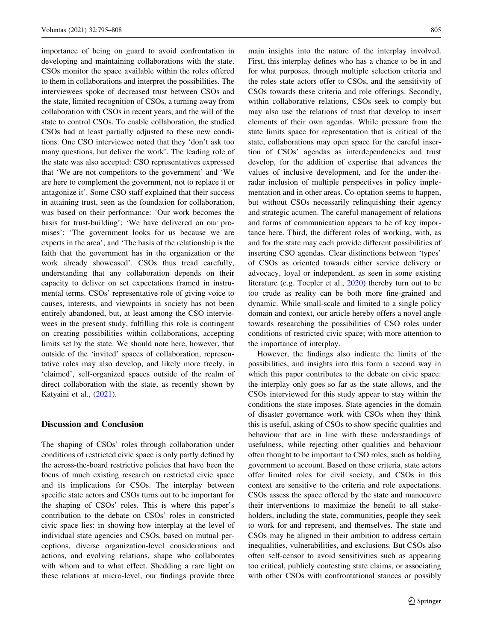importance of being on guard to avoid confrontation in developing and maintaining collaborations with the state. CSOs monitor the space available within the roles offered to them in collaborations and interpret the possibilities. The interviewees spoke of decreased trust between CSOs and the state, limited recognition of CSOs, a turning away from collaboration with CSOs in recent years, and the will of the state to control CSOs. To enable collaboration, the studied CSOs had at least partially adjusted to these new conditions. One CSO interviewee noted that they 'don't ask too many questions, but deliver the work'. The leading role of the state was also accepted: CSO representatives expressed that 'We are not competitors to the government' and 'We are here to complement the government, not to replace it or antagonize it'. Some CSO staff explained that their success in attaining trust, seen as the foundation for collaboration, was based on their performance: 'Our work becomes the basis for trust-building'; 'We have delivered on our promises'; 'The government looks for us because we are experts in the area'; and 'The basis of the relationship is the faith that the government has in the organization or the work already showcased'. CSOs thus tread carefully, understanding that any collaboration depends on their capacity to deliver on set expectations framed in instrumental terms. CSOs' representative role of giving voice to causes, interests, and viewpoints in society has not been entirely abandoned, but, at least among the CSO interviewees in the present study, fulfilling this role is contingent on creating possibilities within collaborations, accepting limits set by the state. We should note here, however, that outside of the 'invited' spaces of collaboration, representative roles may also develop, and likely more freely, in 'claimed', self-organized spaces outside of the realm of direct collaboration with the state, as recently shown by Katyaini et al., [\(2021](#page-12-0)).

### Discussion and Conclusion

The shaping of CSOs' roles through collaboration under conditions of restricted civic space is only partly defined by the across-the-board restrictive policies that have been the focus of much existing research on restricted civic space and its implications for CSOs. The interplay between specific state actors and CSOs turns out to be important for the shaping of CSOs' roles. This is where this paper's contribution to the debate on CSOs' roles in constricted civic space lies: in showing how interplay at the level of individual state agencies and CSOs, based on mutual perceptions, diverse organization-level considerations and actions, and evolving relations, shape who collaborates with whom and to what effect. Shedding a rare light on these relations at micro-level, our findings provide three main insights into the nature of the interplay involved. First, this interplay defines who has a chance to be in and for what purposes, through multiple selection criteria and the roles state actors offer to CSOs, and the sensitivity of CSOs towards these criteria and role offerings. Secondly, within collaborative relations, CSOs seek to comply but may also use the relations of trust that develop to insert elements of their own agendas. While pressure from the state limits space for representation that is critical of the state, collaborations may open space for the careful insertion of CSOs' agendas as interdependencies and trust develop, for the addition of expertise that advances the values of inclusive development, and for the under-theradar inclusion of multiple perspectives in policy implementation and in other areas. Co-optation seems to happen, but without CSOs necessarily relinquishing their agency and strategic acumen. The careful management of relations and forms of communication appears to be of key importance here. Third, the different roles of working, with, as and for the state may each provide different possibilities of inserting CSO agendas. Clear distinctions between 'types' of CSOs as oriented towards either service delivery or advocacy, loyal or independent, as seen in some existing literature (e.g. Toepler et al., [2020\)](#page-13-0) thereby turn out to be too crude as reality can be both more fine-grained and dynamic. While small-scale and limited to a single policy domain and context, our article hereby offers a novel angle towards researching the possibilities of CSO roles under conditions of restricted civic space; with more attention to the importance of interplay.

However, the findings also indicate the limits of the possibilities, and insights into this form a second way in which this paper contributes to the debate on civic space: the interplay only goes so far as the state allows, and the CSOs interviewed for this study appear to stay within the conditions the state imposes. State agencies in the domain of disaster governance work with CSOs when they think this is useful, asking of CSOs to show specific qualities and behaviour that are in line with these understandings of usefulness, while rejecting other qualities and behaviour often thought to be important to CSO roles, such as holding government to account. Based on these criteria, state actors offer limited roles for civil society, and CSOs in this context are sensitive to the criteria and role expectations. CSOs assess the space offered by the state and manoeuvre their interventions to maximize the benefit to all stakeholders, including the state, communities, people they seek to work for and represent, and themselves. The state and CSOs may be aligned in their ambition to address certain inequalities, vulnerabilities, and exclusions. But CSOs also often self-censor to avoid sensitivities such as appearing too critical, publicly contesting state claims, or associating with other CSOs with confrontational stances or possibly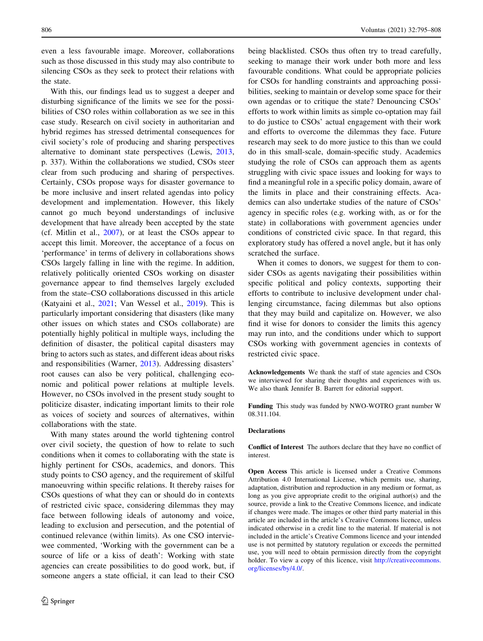even a less favourable image. Moreover, collaborations such as those discussed in this study may also contribute to silencing CSOs as they seek to protect their relations with the state.

With this, our findings lead us to suggest a deeper and disturbing significance of the limits we see for the possibilities of CSO roles within collaboration as we see in this case study. Research on civil society in authoritarian and hybrid regimes has stressed detrimental consequences for civil society's role of producing and sharing perspectives alternative to dominant state perspectives (Lewis, [2013,](#page-12-0) p. 337). Within the collaborations we studied, CSOs steer clear from such producing and sharing of perspectives. Certainly, CSOs propose ways for disaster governance to be more inclusive and insert related agendas into policy development and implementation. However, this likely cannot go much beyond understandings of inclusive development that have already been accepted by the state (cf. Mitlin et al., [2007](#page-12-0)), or at least the CSOs appear to accept this limit. Moreover, the acceptance of a focus on 'performance' in terms of delivery in collaborations shows CSOs largely falling in line with the regime. In addition, relatively politically oriented CSOs working on disaster governance appear to find themselves largely excluded from the state–CSO collaborations discussed in this article (Katyaini et al., [2021](#page-12-0); Van Wessel et al., [2019](#page-13-0)). This is particularly important considering that disasters (like many other issues on which states and CSOs collaborate) are potentially highly political in multiple ways, including the definition of disaster, the political capital disasters may bring to actors such as states, and different ideas about risks and responsibilities (Warner, [2013\)](#page-13-0). Addressing disasters' root causes can also be very political, challenging economic and political power relations at multiple levels. However, no CSOs involved in the present study sought to politicize disaster, indicating important limits to their role as voices of society and sources of alternatives, within collaborations with the state.

With many states around the world tightening control over civil society, the question of how to relate to such conditions when it comes to collaborating with the state is highly pertinent for CSOs, academics, and donors. This study points to CSO agency, and the requirement of skilful manoeuvring within specific relations. It thereby raises for CSOs questions of what they can or should do in contexts of restricted civic space, considering dilemmas they may face between following ideals of autonomy and voice, leading to exclusion and persecution, and the potential of continued relevance (within limits). As one CSO interviewee commented, 'Working with the government can be a source of life or a kiss of death': Working with state agencies can create possibilities to do good work, but, if someone angers a state official, it can lead to their CSO

being blacklisted. CSOs thus often try to tread carefully, seeking to manage their work under both more and less favourable conditions. What could be appropriate policies for CSOs for handling constraints and approaching possibilities, seeking to maintain or develop some space for their own agendas or to critique the state? Denouncing CSOs' efforts to work within limits as simple co-optation may fail to do justice to CSOs' actual engagement with their work and efforts to overcome the dilemmas they face. Future research may seek to do more justice to this than we could do in this small-scale, domain-specific study. Academics studying the role of CSOs can approach them as agents struggling with civic space issues and looking for ways to find a meaningful role in a specific policy domain, aware of the limits in place and their constraining effects. Academics can also undertake studies of the nature of CSOs' agency in specific roles (e.g. working with, as or for the state) in collaborations with government agencies under conditions of constricted civic space. In that regard, this exploratory study has offered a novel angle, but it has only scratched the surface.

When it comes to donors, we suggest for them to consider CSOs as agents navigating their possibilities within specific political and policy contexts, supporting their efforts to contribute to inclusive development under challenging circumstance, facing dilemmas but also options that they may build and capitalize on. However, we also find it wise for donors to consider the limits this agency may run into, and the conditions under which to support CSOs working with government agencies in contexts of restricted civic space.

Acknowledgements We thank the staff of state agencies and CSOs we interviewed for sharing their thoughts and experiences with us. We also thank Jennifer B. Barrett for editorial support.

Funding This study was funded by NWO-WOTRO grant number W 08.311.104.

#### Declarations

Conflict of Interest The authors declare that they have no conflict of interest.

Open Access This article is licensed under a Creative Commons Attribution 4.0 International License, which permits use, sharing, adaptation, distribution and reproduction in any medium or format, as long as you give appropriate credit to the original author(s) and the source, provide a link to the Creative Commons licence, and indicate if changes were made. The images or other third party material in this article are included in the article's Creative Commons licence, unless indicated otherwise in a credit line to the material. If material is not included in the article's Creative Commons licence and your intended use is not permitted by statutory regulation or exceeds the permitted use, you will need to obtain permission directly from the copyright holder. To view a copy of this licence, visit [http://creativecommons.](http://creativecommons.org/licenses/by/4.0/) [org/licenses/by/4.0/.](http://creativecommons.org/licenses/by/4.0/)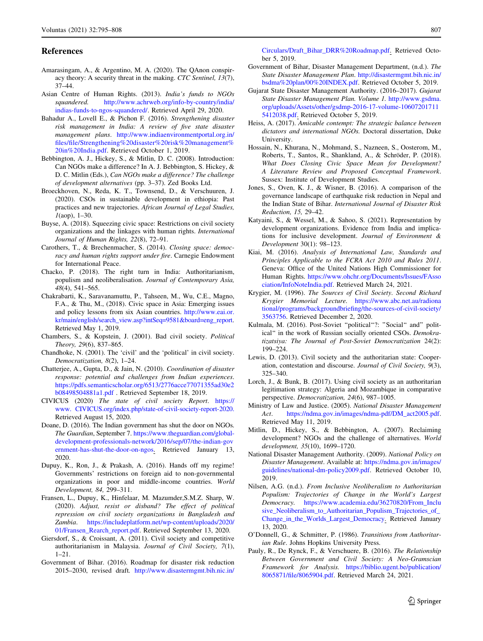### <span id="page-12-0"></span>References

- Amarasingam, A., & Argentino, M. A. (2020). The QAnon conspiracy theory: A security threat in the making. CTC Sentinel, 13(7), 37–44.
- Asian Centre of Human Rights. (2013). India's funds to NGOs squandered. [http://www.achrweb.org/info-by-country/india/](http://www.achrweb.org/info-by-country/india/indias-funds-to-ngos-squandered/) [indias-funds-to-ngos-squandered/](http://www.achrweb.org/info-by-country/india/indias-funds-to-ngos-squandered/). Retrieved April 29, 2020.
- Bahadur A., Lovell E., & Pichon F. (2016). Strengthening disaster risk management in India: A review of five state disaster management plans. [http://www.indiaenvironmentportal.org.in/](http://www.indiaenvironmentportal.org.in/files/file/Strengthening%20disaster%20risk%20management%20in%20India.pdf) [files/file/Strengthening%20disaster%20risk%20management%](http://www.indiaenvironmentportal.org.in/files/file/Strengthening%20disaster%20risk%20management%20in%20India.pdf) [20in%20India.pdf.](http://www.indiaenvironmentportal.org.in/files/file/Strengthening%20disaster%20risk%20management%20in%20India.pdf) Retrieved October 1, 2019.
- Bebbington, A. J., Hickey, S., & Mitlin, D. C. (2008). Introduction: Can NGOs make a difference? In A. J. Bebbington, S. Hickey, & D. C. Mitlin (Eds.), Can NGOs make a difference? The challenge of development alternatives (pp. 3–37). Zed Books Ltd.
- Broeckhoven, N., Reda, K. T., Townsend, D., & Verschuuren, J. (2020). CSOs in sustainable development in ethiopia: Past practices and new trajectories. African Journal of Legal Studies,  $1$ (aop),  $1-30$ .
- Buyse, A. (2018). Squeezing civic space: Restrictions on civil society organizations and the linkages with human rights. International Journal of Human Rights, 22(8), 72–91.
- Carothers, T., & Brechenmacher, S. (2014). Closing space: democracy and human rights support under fire. Carnegie Endowment for International Peace.
- Chacko, P. (2018). The right turn in India: Authoritarianism, populism and neoliberalisation. Journal of Contemporary Asia, 48(4), 541–565.
- Chakrabarti, K., Saravanamuttu, P., Tahseen, M., Wu, C.E., Magno, F.A., & Thu, M., (2018). Civic space in Asia: Emerging issues and policy lessons from six Asian countries. [http://www.eai.or.](http://www.eai.or.kr/main/english/search_view.asp?intSeq=9581&board=eng_report) [kr/main/english/search\\_view.asp?intSeq=9581&board=eng\\_report.](http://www.eai.or.kr/main/english/search_view.asp?intSeq=9581&board=eng_report) Retrieved May 1, 2019.
- Chambers, S., & Kopstein, J. (2001). Bad civil society. Political Theory, 29(6), 837–865.
- Chandhoke, N. (2001). The 'civil' and the 'political' in civil society. Democratization, 8(2), 1–24.
- Chatterjee, A., Gupta, D., & Jain, N. (2010). Coordination of disaster response: potential and challenges from Indian experiences. [https://pdfs.semanticscholar.org/6513/2776acce77071355ad30e2](https://pdfs.semanticscholar.org/6513/2776acce77071355ad30e2b08498504881a1.pdf) [b08498504881a1.pdf](https://pdfs.semanticscholar.org/6513/2776acce77071355ad30e2b08498504881a1.pdf) . Retrieved September 18, 2019.
- CIVICUS (2020) The state of civil society Report. https:// www. CIVICUS.org/index.php/state-of-civil-society-report-2020. Retrieved August 15, 2020.
- Doane, D. (2016). The Indian government has shut the door on NGOs. The Guardian, September 7. [https://www.theguardian.com/global](https://www.theguardian.com/global-development-professionals-network/2016/sep/07/the-indian-government-has-shut-the-door-on-ngos)[development-professionals-network/2016/sep/07/the-indian-gov](https://www.theguardian.com/global-development-professionals-network/2016/sep/07/the-indian-government-has-shut-the-door-on-ngos) [ernment-has-shut-the-door-on-ngos](https://www.theguardian.com/global-development-professionals-network/2016/sep/07/the-indian-government-has-shut-the-door-on-ngos). Retrieved January 13, 2020.
- Dupuy, K., Ron, J., & Prakash, A. (2016). Hands off my regime! Governments' restrictions on foreign aid to non-governmental organizations in poor and middle-income countries. World Development, 84, 299–311.
- Fransen, L., Dupuy, K., Hinfelaar, M. Mazumder,S.M.Z. Sharp, W. (2020). Adjust, resist or disband? The effect of political repression on civil society organizations in Bangladesh and Zambia. [https://includeplatform.net/wp-content/uploads/2020/](https://includeplatform.net/wp-content/uploads/2020/01/Fransen_Rearch_report.pdf) [01/Fransen\\_Rearch\\_report.pdf.](https://includeplatform.net/wp-content/uploads/2020/01/Fransen_Rearch_report.pdf) Retrieved September 13, 2020.
- Giersdorf, S., & Croissant, A. (2011). Civil society and competitive authoritarianism in Malaysia. Journal of Civil Society, 7(1), 1–21.
- Government of Bihar. (2016). Roadmap for disaster risk reduction 2015–2030, revised draft. [http://www.disastermgmt.bih.nic.in/](http://www.disastermgmt.bih.nic.in/Circulars/Draft_Bihar_DRR%20Roadmap.pdf)

[Circulars/Draft\\_Bihar\\_DRR%20Roadmap.pdf.](http://www.disastermgmt.bih.nic.in/Circulars/Draft_Bihar_DRR%20Roadmap.pdf) Retrieved October 5, 2019.

- Government of Bihar, Disaster Management Department, (n.d.). The State Disaster Management Plan. [http://disastermgmt.bih.nic.in/](http://disastermgmt.bih.nic.in/bsdma%20plan/00%20INDEX.pdf) [bsdma%20plan/00%20INDEX.pdf.](http://disastermgmt.bih.nic.in/bsdma%20plan/00%20INDEX.pdf) Retrieved October 5, 2019.
- Gujarat State Disaster Management Authority. (2016–2017). Gujarat State Disaster Management Plan. Volume 1. [http://www.gsdma.](http://www.gsdma.org/uploads/Assets/other/gsdmp-2016-17-volume-106072017115412038.pdf) [org/uploads/Assets/other/gsdmp-2016-17-volume-10607201711](http://www.gsdma.org/uploads/Assets/other/gsdmp-2016-17-volume-106072017115412038.pdf) [5412038.pdf](http://www.gsdma.org/uploads/Assets/other/gsdmp-2016-17-volume-106072017115412038.pdf). Retrieved October 5, 2019.
- Heiss, A. (2017). Amicable contempt: The strategic balance between dictators and international NGOs. Doctoral dissertation, Duke University.
- Hossain, N., Khurana, N., Mohmand, S., Nazneen, S., Oosterom, M., Roberts, T., Santos, R., Shankland, A., & Schröder, P. (2018). What Does Closing Civic Space Mean for Development? A Literature Review and Proposed Conceptual Framework. Sussex: Institute of Development Studies.
- Jones, S., Oven, K. J., & Wisner, B. (2016). A comparison of the governance landscape of earthquake risk reduction in Nepal and the Indian State of Bihar. International Journal of Disaster Risk Reduction, 15, 29–42.
- Katyaini, S., & Wessel, M., & Sahoo, S. (2021). Representation by development organizations. Evidence from India and implications for inclusive development. Journal of Environment & Development 30(1): 98–123.
- Kiai, M. (2016). Analysis of International Law, Standards and Principles Applicable to the FCRA Act 2010 and Rules 2011. Geneva: Office of the United Nations High Commissioner for Human Rights. [https://www.ohchr.org/Documents/Issues/FAsso](https://www.ohchr.org/Documents/Issues/FAssociation/InfoNoteIndia.pdf) [ciation/InfoNoteIndia.pdf](https://www.ohchr.org/Documents/Issues/FAssociation/InfoNoteIndia.pdf). Retrieved March 24, 2021.
- Krygier, M. (1996). The Sources of Civil Society. Second Richard Krygier Memorial Lecture. [https://www.abc.net.au/radiona](https://www.abc.net.au/radionational/programs/backgroundbriefing/the-sources-of-civil-society/3563756) [tional/programs/backgroundbriefing/the-sources-of-civil-society/](https://www.abc.net.au/radionational/programs/backgroundbriefing/the-sources-of-civil-society/3563756) [3563756.](https://www.abc.net.au/radionational/programs/backgroundbriefing/the-sources-of-civil-society/3563756) Retrieved December 2, 2020.
- Kulmala, M. (2016). Post-Soviet "political"?: "Social" and" political'' in the work of Russian socially oriented CSOs. Demokratizatsiya: The Journal of Post-Soviet Democratization 24(2): 199–224.
- Lewis, D. (2013). Civil society and the authoritarian state: Cooperation, contestation and discourse. Journal of Civil Society, 9(3), 325–340.
- Lorch, J., & Bunk, B. (2017). Using civil society as an authoritarian legitimation strategy: Algeria and Mozambique in comparative perspective. Democratization, 24(6), 987–1005.
- Ministry of Law and Justice. (2005). National Disaster Management Act. [https://ndma.gov.in/images/ndma-pdf/DM\\_act2005.pdf](https://ndma.gov.in/images/ndma-pdf/DM_act2005.pdf). Retrieved May 11, 2019.
- Mitlin, D., Hickey, S., & Bebbington, A. (2007). Reclaiming development? NGOs and the challenge of alternatives. World development, 35(10), 1699–1720.
- National Disaster Management Authority. (2009). National Policy on Disaster Management. Available at: [https://ndma.gov.in/images/](https://ndma.gov.in/images/guidelines/national-dm-policy2009.pdf) [guidelines/national-dm-policy2009.pdf](https://ndma.gov.in/images/guidelines/national-dm-policy2009.pdf). Retrieved October 10, 2019.
- Nilsen, A.G. (n.d.). From Inclusive Neoliberalism to Authoritarian Populism: Trajectories of Change in the World's Largest Democracy. [https://www.academia.edu/36270820/From\\_Inclu](https://www.academia.edu/36270820/From_Inclusive_Neoliberalism_to_Authoritarian_Populism_Trajectories_of_Change_in_the_Worlds_Largest_Democracy) sive Neoliberalism to Authoritarian Populism Trajectories of [Change\\_in\\_the\\_Worlds\\_Largest\\_Democracy](https://www.academia.edu/36270820/From_Inclusive_Neoliberalism_to_Authoritarian_Populism_Trajectories_of_Change_in_the_Worlds_Largest_Democracy). Retrieved January 13, 2020.
- O'Donnell, G., & Schmitter, P. (1986). Transitions from Authoritarian Rule. Johns Hopkins University Press.
- Pauly, R., De Rynck, F., & Verschuere, B. (2016). The Relationship Between Government and Civil Society: A Neo-Gramscian Framework for Analysis. [https://biblio.ugent.be/publication/](https://biblio.ugent.be/publication/8065871/file/8065904.pdf) [8065871/file/8065904.pdf](https://biblio.ugent.be/publication/8065871/file/8065904.pdf). Retrieved March 24, 2021.